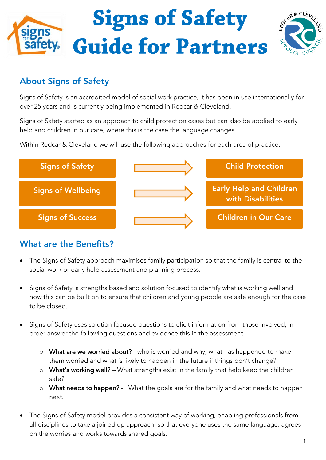

## **About Signs of Safety**

Signs of Safety is an accredited model of social work practice, it has been in use internationally for over 25 years and is currently being implemented in Redcar & Cleveland.

Signs of Safety started as an approach to child protection cases but can also be applied to early help and children in our care, where this is the case the language changes.

Within Redcar & Cleveland we will use the following approaches for each area of practice.



## **What are the Benefits?**

- The Signs of Safety approach maximises family participation so that the family is central to the social work or early help assessment and planning process.
- Signs of Safety is strengths based and solution focused to identify what is working well and how this can be built on to ensure that children and young people are safe enough for the case to be closed.
- Signs of Safety uses solution focused questions to elicit information from those involved, in order answer the following questions and evidence this in the assessment.
	- o What are we worried about? who is worried and why, what has happened to make them worried and what is likely to happen in the future if things don't change?
	- $\circ$  What's working well? What strengths exist in the family that help keep the children safe?
	- o What needs to happen? What the goals are for the family and what needs to happen next.
- The Signs of Safety model provides a consistent way of working, enabling professionals from all disciplines to take a joined up approach, so that everyone uses the same language, agrees on the worries and works towards shared goals.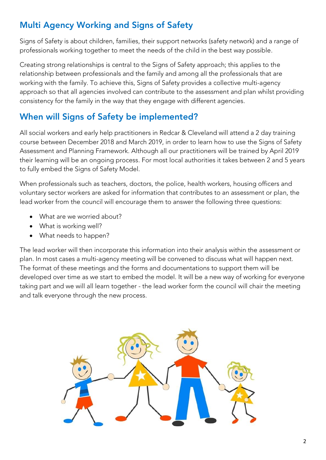## **Multi Agency Working and Signs of Safety**

Signs of Safety is about children, families, their support networks (safety network) and a range of professionals working together to meet the needs of the child in the best way possible.

Creating strong relationships is central to the Signs of Safety approach; this applies to the relationship between professionals and the family and among all the professionals that are working with the family. To achieve this, Signs of Safety provides a collective multi-agency approach so that all agencies involved can contribute to the assessment and plan whilst providing consistency for the family in the way that they engage with different agencies.

## **When will Signs of Safety be implemented?**

All social workers and early help practitioners in Redcar & Cleveland will attend a 2 day training course between December 2018 and March 2019, in order to learn how to use the Signs of Safety Assessment and Planning Framework. Although all our practitioners will be trained by April 2019 their learning will be an ongoing process. For most local authorities it takes between 2 and 5 years to fully embed the Signs of Safety Model.

When professionals such as teachers, doctors, the police, health workers, housing officers and voluntary sector workers are asked for information that contributes to an assessment or plan, the lead worker from the council will encourage them to answer the following three questions:

- What are we worried about?
- What is working well?
- What needs to happen?

The lead worker will then incorporate this information into their analysis within the assessment or plan. In most cases a multi-agency meeting will be convened to discuss what will happen next. The format of these meetings and the forms and documentations to support them will be developed over time as we start to embed the model. It will be a new way of working for everyone taking part and we will all learn together - the lead worker form the council will chair the meeting and talk everyone through the new process.

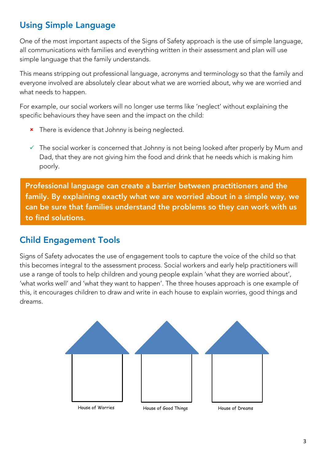## **Using Simple Language**

One of the most important aspects of the Signs of Safety approach is the use of simple language, all communications with families and everything written in their assessment and plan will use simple language that the family understands.

This means stripping out professional language, acronyms and terminology so that the family and everyone involved are absolutely clear about what we are worried about, why we are worried and what needs to happen.

For example, our social workers will no longer use terms like 'neglect' without explaining the specific behaviours they have seen and the impact on the child:

- **\*** There is evidence that Johnny is being neglected.
- $\checkmark$  The social worker is concerned that Johnny is not being looked after properly by Mum and Dad, that they are not giving him the food and drink that he needs which is making him poorly.

**Professional language can create a barrier between practitioners and the family. By explaining exactly what we are worried about in a simple way, we can be sure that families understand the problems so they can work with us to find solutions.**

### **Child Engagement Tools**  $\overline{a}$

Signs of Safety advocates the use of engagement tools to capture the voice of the child so that this becomes integral to the assessment process. Social workers and early help practitioners will use a range of tools to help children and young people explain 'what they are worried about', 'what works well' and 'what they want to happen'. The three houses approach is one example of this, it encourages children to draw and write in each house to explain worries, good things and dreams.

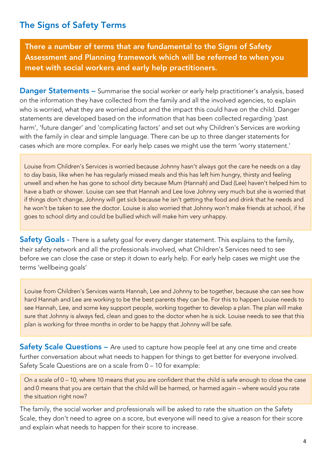## **The Signs of Safety Terms**

**There a number of terms that are fundamental to the Signs of Safety Assessment and Planning framework which will be referred to when you meet with social workers and early help practitioners.** 

**Danger Statements –** Summarise the social worker or early help practitioner's analysis, based on the information they have collected from the family and all the involved agencies, to explain who is worried, what they are worried about and the impact this could have on the child. Danger statements are developed based on the information that has been collected regarding 'past harm', 'future danger' and 'complicating factors' and set out why Children's Services are working with the family in clear and simple language. There can be up to three danger statements for cases which are more complex. For early help cases we might use the term 'worry statement.'

Louise from Children's Services is worried because Johnny hasn't always got the care he needs on a day to day basis, like when he has regularly missed meals and this has left him hungry, thirsty and feeling unwell and when he has gone to school dirty because Mum (Hannah) and Dad (Lee) haven't helped him to have a bath or shower. Louise can see that Hannah and Lee love Johnny very much but she is worried that if things don't change, Johnny will get sick because he isn't getting the food and drink that he needs and he won't be taken to see the doctor. Louise is also worried that Johnny won't make friends at school, if he goes to school dirty and could be bullied which will make him very unhappy.

**Safety Goals** - There is a safety goal for every danger statement. This explains to the family, their safety network and all the professionals involved, what Children's Services need to see before we can close the case or step it down to early help. For early help cases we might use the terms 'wellbeing goals'

Louise from Children's Services wants Hannah, Lee and Johnny to be together, because she can see how hard Hannah and Lee are working to be the best parents they can be. For this to happen Louise needs to see Hannah, Lee, and some key support people, working together to develop a plan. The plan will make sure that Johnny is always fed, clean and goes to the doctor when he is sick. Louise needs to see that this plan is working for three months in order to be happy that Johnny will be safe.

**Safety Scale Questions –** Are used to capture how people feel at any one time and create further conversation about what needs to happen for things to get better for everyone involved. Safety Scale Questions are on a scale from 0 – 10 for example:

On a scale of 0 – 10, where 10 means that you are confident that the child is safe enough to close the case and 0 means that you are certain that the child will be harmed, or harmed again – where would you rate the situation right now?

The family, the social worker and professionals will be asked to rate the situation on the Safety Scale, they don't need to agree on a score, but everyone will need to give a reason for their score and explain what needs to happen for their score to increase.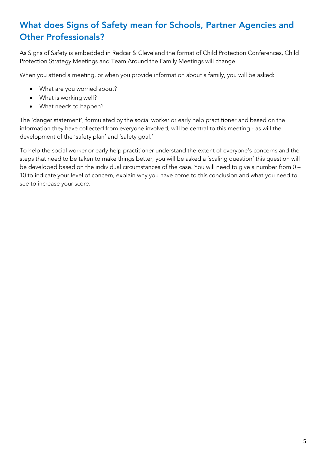## **What does Signs of Safety mean for Schools, Partner Agencies and Other Professionals?**

As Signs of Safety is embedded in Redcar & Cleveland the format of Child Protection Conferences, Child Protection Strategy Meetings and Team Around the Family Meetings will change.

When you attend a meeting, or when you provide information about a family, you will be asked:

- What are you worried about?
- What is working well?
- What needs to happen?

The 'danger statement', formulated by the social worker or early help practitioner and based on the information they have collected from everyone involved, will be central to this meeting - as will the development of the 'safety plan' and 'safety goal.'

To help the social worker or early help practitioner understand the extent of everyone's concerns and the steps that need to be taken to make things better; you will be asked a 'scaling question' this question will be developed based on the individual circumstances of the case. You will need to give a number from 0 – 10 to indicate your level of concern, explain why you have come to this conclusion and what you need to see to increase your score.